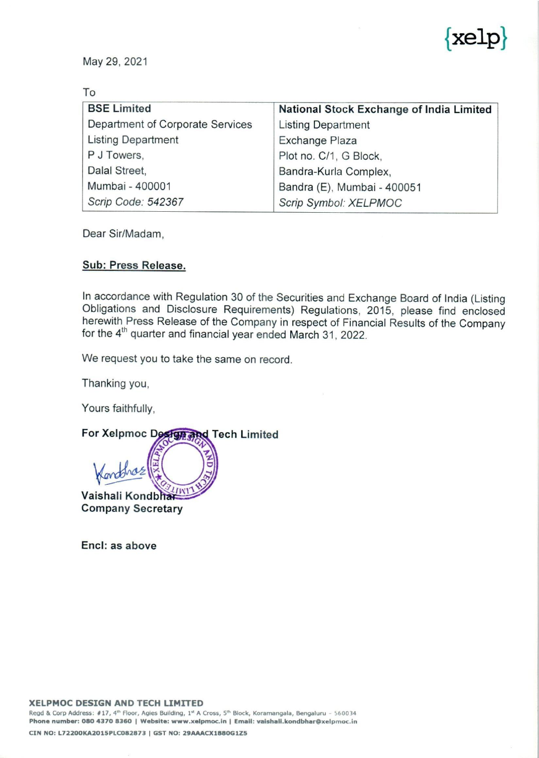

|                                  | $\widetilde{\otimes}$                                |
|----------------------------------|------------------------------------------------------|
|                                  | kelp                                                 |
| May 29, 2021                     |                                                      |
|                                  |                                                      |
| To                               |                                                      |
| <b>BSE Limited</b>               | National Stock Exchange of India Limited             |
| Department of Corporate Services | <b>Listing Department</b>                            |
| <b>Listing Department</b>        | Exchange Plaza                                       |
| P J Towers,                      | Plot no. C/1, G Block,                               |
| Dalal Street,<br>Mumbai - 400001 | Bandra-Kurla Complex,                                |
| Scrip Code: 542367               | Bandra (E), Mumbai - 400051<br>Scrip Symbol: XELPMOC |
|                                  |                                                      |

Dear Sir/Madam,

### Sub: Press Release.

In accordance with Regulation 30 of the Securities and Exchange Board of India (Listing Obligations and Disclosure Requirements) Regulations, 2015, please find enclosed herewith Press Release of the Company in respect of

We request you to take the same on record.

Thanking you,

Yours faithfully,

For Xelpmoc Design and Tech Limited Vaishali Kondbha Company Secretary

Encl: as above

CIN NO: L72200KA2015PLC082873 | GST NO: 29AAACX1880G1Z5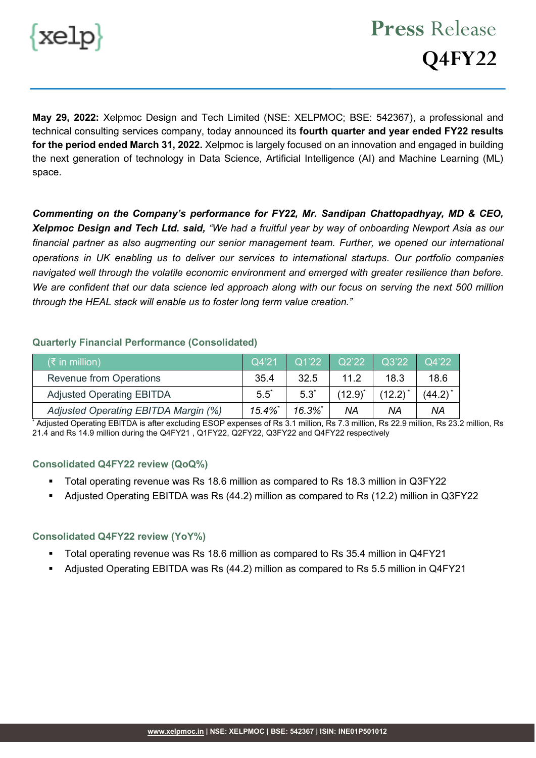

**May 29, 2022:** Xelpmoc Design and Tech Limited (NSE: XELPMOC; BSE: 542367), a professional and technical consulting services company, today announced its **fourth quarter and year ended FY22 results for the period ended March 31, 2022.** Xelpmoc is largely focused on an innovation and engaged in building the next generation of technology in Data Science, Artificial Intelligence (AI) and Machine Learning (ML) space.

*Commenting on the Company's performance for FY22, Mr. Sandipan Chattopadhyay, MD & CEO, Xelpmoc Design and Tech Ltd. said, "We had a fruitful year by way of onboarding Newport Asia as our financial partner as also augmenting our senior management team. Further, we opened our international operations in UK enabling us to deliver our services to international startups. Our portfolio companies navigated well through the volatile economic environment and emerged with greater resilience than before. We are confident that our data science led approach along with our focus on serving the next 500 million through the HEAL stack will enable us to foster long term value creation."*

#### **Quarterly Financial Performance (Consolidated)**

| $(3\overline{5})$ in million)        | Q4'21    | Q1'22    | Q2'22        | $\overline{Q}3'22'$ | Q4'22      |
|--------------------------------------|----------|----------|--------------|---------------------|------------|
| <b>Revenue from Operations</b>       | 35.4     | 32.5     | 11.2         | 18.3                | 18.6       |
| <b>Adjusted Operating EBITDA</b>     | $5.5^*$  | $5.3^*$  | $(12.9)^{*}$ | $(12.2)^{*}$        | $(44.2)^*$ |
| Adjusted Operating EBITDA Margin (%) | $15.4\%$ | $16.3\%$ | NA           | ΝA                  | <b>NA</b>  |

\* Adjusted Operating EBITDA is after excluding ESOP expenses of Rs 3.1 million, Rs 7.3 million, Rs 22.9 million, Rs 23.2 million, Rs 21.4 and Rs 14.9 million during the Q4FY21 , Q1FY22, Q2FY22, Q3FY22 and Q4FY22 respectively

#### **Consolidated Q4FY22 review (QoQ%)**

- Total operating revenue was Rs 18.6 million as compared to Rs 18.3 million in Q3FY22
- Adjusted Operating EBITDA was Rs (44.2) million as compared to Rs (12.2) million in Q3FY22

#### **Consolidated Q4FY22 review (YoY%)**

- Total operating revenue was Rs 18.6 million as compared to Rs 35.4 million in Q4FY21
- Adjusted Operating EBITDA was Rs (44.2) million as compared to Rs 5.5 million in Q4FY21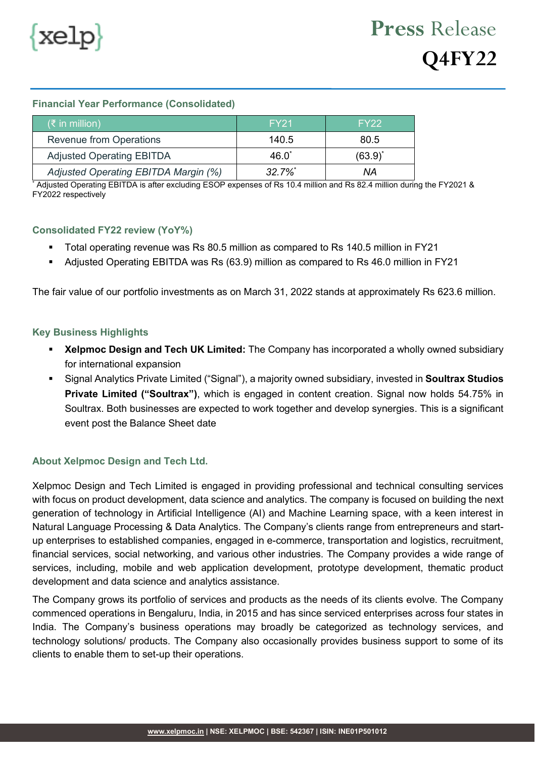

# **Press** Release **Q4FY22**

### **Financial Year Performance (Consolidated)**

| $(\xi$ in million)                   | FY <sub>21</sub> | FY <sub>22</sub> |
|--------------------------------------|------------------|------------------|
| <b>Revenue from Operations</b>       | 140.5            | 80.5             |
| <b>Adjusted Operating EBITDA</b>     | $46.0^*$         | $(63.9)^*$       |
| Adjusted Operating EBITDA Margin (%) | $32.7\%$         | ΝA               |

Adjusted Operating EBITDA is after excluding ESOP expenses of Rs 10.4 million and Rs 82.4 million during the FY2021 & FY2022 respectively

#### **Consolidated FY22 review (YoY%)**

- Total operating revenue was Rs 80.5 million as compared to Rs 140.5 million in FY21
- Adjusted Operating EBITDA was Rs (63.9) million as compared to Rs 46.0 million in FY21

The fair value of our portfolio investments as on March 31, 2022 stands at approximately Rs 623.6 million.

#### **Key Business Highlights**

- **Xelpmoc Design and Tech UK Limited:** The Company has incorporated a wholly owned subsidiary for international expansion
- Signal Analytics Private Limited ("Signal"), a majority owned subsidiary, invested in **Soultrax Studios Private Limited ("Soultrax")**, which is engaged in content creation. Signal now holds 54.75% in Soultrax. Both businesses are expected to work together and develop synergies. This is a significant event post the Balance Sheet date

## **About Xelpmoc Design and Tech Ltd.**

Xelpmoc Design and Tech Limited is engaged in providing professional and technical consulting services with focus on product development, data science and analytics. The company is focused on building the next generation of technology in Artificial Intelligence (AI) and Machine Learning space, with a keen interest in Natural Language Processing & Data Analytics. The Company's clients range from entrepreneurs and startup enterprises to established companies, engaged in e-commerce, transportation and logistics, recruitment, financial services, social networking, and various other industries. The Company provides a wide range of services, including, mobile and web application development, prototype development, thematic product development and data science and analytics assistance.

The Company grows its portfolio of services and products as the needs of its clients evolve. The Company commenced operations in Bengaluru, India, in 2015 and has since serviced enterprises across four states in India. The Company's business operations may broadly be categorized as technology services, and technology solutions/ products. The Company also occasionally provides business support to some of its clients to enable them to set-up their operations.